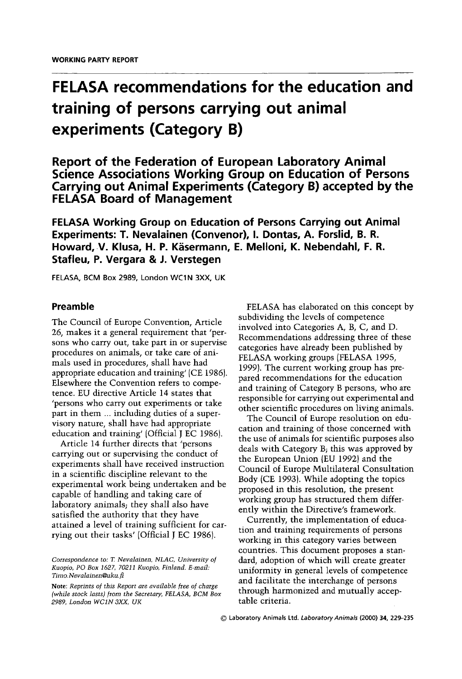# FELASA recommendations for the education and training of persons carrying out animal experiments (Category B)

**Report of the Federation of European Laboratory Animal** Science Associations Working Group on Education of Persons Carrying out Animal Experiments (Category B) accepted by the **FELASA Board of Management** 

**FELASA Working Group on Education of Persons Carrying out Animal** Experiments: T. Nevalainen (Convenor), I. Dontas, A. Forslid, B. R. Howard, V. Klusa, H. P. Käsermann, E. Melloni, K. Nebendahl, F. R. Stafleu, P. Vergara & J. Verstegen

FELASA, BCM Box 2989, London WC1N 3XX, UK

## Preamble

The Council of Europe Convention, Article 26, makes it a general requirement that 'persons who carry out, take part in or supervise procedures on animals, or take care of animals used in procedures, shall have had appropriate education and training' (CE 1986). Elsewhere the Convention refers to competence. EU directive Article 14 states that 'persons who carry out experiments or take part in them ... including duties of a supervisory nature, shall have had appropriate education and training' (Official J EC 1986).

Article 14 further directs that 'persons carrying out or supervising the conduct of experiments shall have received instruction in a scientific discipline relevant to the experimental work being undertaken and be capable of handling and taking care of laboratory animals; they shall also have satisfied the authority that they have attained a level of training sufficient for carrying out their tasks' (Official J EC 1986).

FELASA has elaborated on this concept by subdividing the levels of competence involved into Categories A, B, C, and D. Recommendations addressing three of these categories have already been published by FELASA working groups (FELASA 1995, 1999). The current working group has prepared recommendations for the education and training of Category B persons, who are responsible for carrying out experimental and other scientific procedures on living animals.

The Council of Europe resolution on education and training of those concerned with the use of animals for scientific purposes also deals with Category B; this was approved by the European Union (EU 1992) and the Council of Europe Multilateral Consultation Body (CE 1993). While adopting the topics proposed in this resolution, the present working group has structured them differently within the Directive's framework.

Currently, the implementation of education and training requirements of persons working in this category varies between countries. This document proposes a standard, adoption of which will create greater uniformity in general levels of competence and facilitate the interchange of persons through harmonized and mutually acceptable criteria.

Correspondence to: T. Nevalainen, NLAC, University of Kuopio, PO Box 1627, 70211 Kuopio, Finland. E-mail: Timo.Nevalainen@uku.fi

Note: Reprints of this Report are available free of charge (while stock lasts) from the Secretary, FELASA, BCM Box 2989, London WC1N 3XX, UK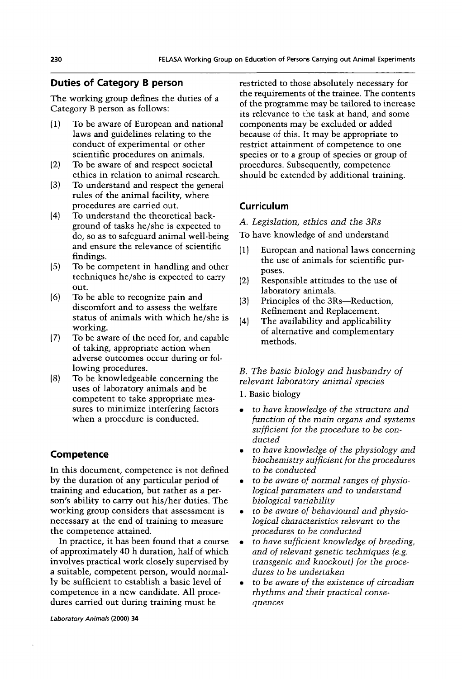## **Duties of Category B person**

The working group defines the duties of a Category B person as follows:

- To be aware of European and national  $(1)$ laws and guidelines relating to the conduct of experimental or other scientific procedures on animals.
- $(2)$ To be aware of and respect societal ethics in relation to animal research.
- $(3)$ To understand and respect the general rules of the animal facility, where procedures are carried out.
- $(4)$ To understand the theoretical background of tasks he/she is expected to do, so as to safeguard animal well-being and ensure the relevance of scientific findings.
- $(5)$ To be competent in handling and other techniques he/she is expected to carry out.
- $(6)$ To be able to recognize pain and discomfort and to assess the welfare status of animals with which he/she is working.
- $(7)$ To be aware of the need for, and capable of taking, appropriate action when adverse outcomes occur during or following procedures.
- $(8)$ To be knowledgeable concerning the uses of laboratory animals and be competent to take appropriate measures to minimize interfering factors when a procedure is conducted.

## Competence

In this document, competence is not defined by the duration of any particular period of training and education, but rather as a person's ability to carry out his/her duties. The working group considers that assessment is necessary at the end of training to measure the competence attained.

In practice, it has been found that a course of approximately 40 h duration, half of which involves practical work closely supervised by a suitable, competent person, would normally be sufficient to establish a basic level of competence in a new candidate. All procedures carried out during training must be

Laboratory Animals (2000) 34

restricted to those absolutely necessary for the requirements of the trainee. The contents of the programme may be tailored to increase its relevance to the task at hand, and some components may be excluded or added because of this. It may be appropriate to restrict attainment of competence to one species or to a group of species or group of procedures. Subsequently, competence should be extended by additional training.

## Curriculum

A. Legislation, ethics and the 3Rs

To have knowledge of and understand

- $(1)$ European and national laws concerning the use of animals for scientific purposes.
- $(2)$ Responsible attitudes to the use of laboratory animals.
- $(3)$ Principles of the 3Rs-Reduction. Refinement and Replacement.
- $(4)$ The availability and applicability of alternative and complementary methods.

### B. The basic biology and husbandry of relevant laboratory animal species

1. Basic biology

- to have knowledge of the structure and function of the main organs and systems sufficient for the procedure to be conducted
- to have knowledge of the physiology and biochemistry sufficient for the procedures to be conducted
- to be aware of normal ranges of physiological parameters and to understand biological variability
- to be aware of behavioural and physio- $\bullet$  . logical characteristics relevant to the procedures to be conducted
- to have sufficient knowledge of breeding, and of relevant genetic techniques (e.g. transgenic and knockout) for the procedures to be undertaken
- to be aware of the existence of circadian rhythms and their practical consequences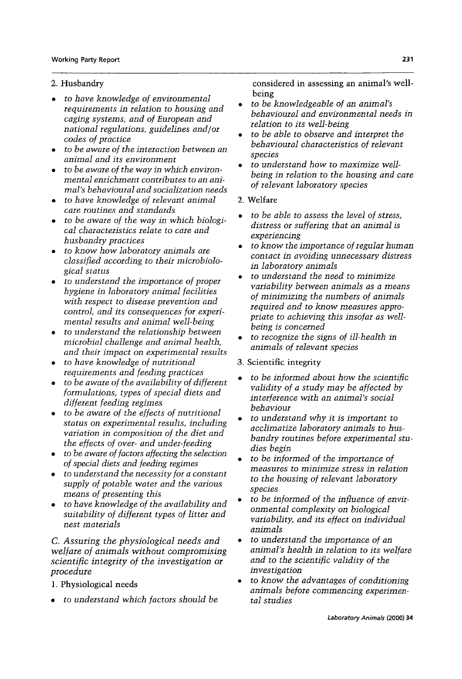## 2. Husbandry

- to have knowledge of environmental requirements in relation to housing and caging systems, and of European and national regulations, guidelines and/or codes of practice
- to be aware of the interaction between an animal and its environment
- to be aware of the way in which environmental enrichment contributes to an animal's behavioural and socialization needs
- to have knowledge of relevant animal care routines and standards
- $\bullet$  to be aware of the way in which biological characteristics relate to care and husbandry practices
- to know how laboratory animals are classified according to their microbiological status
- to understand the importance of proper hygiene in laboratory animal facilities with respect to disease prevention and control, and its consequences for experimental results and animal well-being
- to understand the relationship between microbial challenge and animal health, and their impact on experimental results
- to have knowledge of nutritional requirements and feeding practices
- to be aware of the availability of different formulations, types of special diets and different feeding regimes
- to be aware of the effects of nutritional status on experimental results, including variation in composition of the diet and the effects of over- and under-feeding
- to be aware of factors affecting the selection of special diets and feeding regimes
- to understand the necessity for a constant supply of potable water and the various means of presenting this
- to have knowledge of the availability and suitability of different types of litter and nest materials

C. Assuring the physiological needs and welfare of animals without compromising scientific integrity of the investigation or procedure

- 1. Physiological needs
- to understand which factors should be

considered in assessing an animal's wellbeing

- to be knowledgeable of an animal's behavioural and environmental needs in relation to its well-being
- to be able to observe and interpret the behavioural characteristics of relevant species
- to understand how to maximize wellbeing in relation to the housing and care of relevant laboratory species
- 2. Welfare
- to be able to assess the level of stress, distress or suffering that an animal is experiencing
- to know the importance of regular human contact in avoiding unnecessary distress in laboratory animals
- to understand the need to minimize variability between animals as a means of minimizing the numbers of animals required and to know measures appropriate to achieving this insofar as wellbeing is concerned
- to recognize the signs of ill-health in animals of relevant species
- 3. Scientific integrity
- to be informed about how the scientific validity of a study may be affected by interference with an animal's social behaviour
- to understand why it is important to acclimatize laboratory animals to husbandry routines before experimental studies begin
- to be informed of the importance of measures to minimize stress in relation to the housing of relevant laboratory species
- to be informed of the influence of environmental complexity on biological variability, and its effect on individual animals
- to understand the importance of an animal's health in relation to its welfare and to the scientific validity of the investigation
- to know the advantages of conditioning animals before commencing experimental studies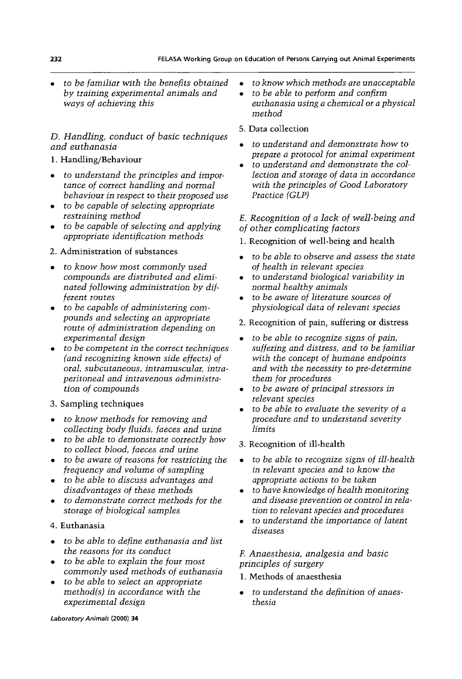to be familiar with the benefits obtained by training experimental animals and ways of achieving this

# D. Handling, conduct of basic techniques and euthanasia

## 1. Handling/Behaviour

- to understand the principles and importance of correct handling and normal behaviour in respect to their proposed use
- to be capable of selecting appropriate restraining method
- to be capable of selecting and applying appropriate identification methods

## 2. Administration of substances

- $\bullet$  to know how most commonly used compounds are distributed and eliminated following administration by different routes
- to be capable of administering compounds and selecting an appropriate route of administration depending on experimental design
- to be competent in the correct techniques (and recognizing known side effects) of oral, subcutaneous, intramuscular, intraperitoneal and intravenous administration of compounds
- 3. Sampling techniques
- to know methods for removing and collecting body fluids, faeces and urine
- to be able to demonstrate correctly how to collect blood, faeces and urine
- to be aware of reasons for restricting the frequency and volume of sampling
- to be able to discuss advantages and disadvantages of these methods
- to demonstrate correct methods for the storage of biological samples

# 4. Euthanasia

- to be able to define euthanasia and list the reasons for its conduct
- to be able to explain the four most commonly used methods of euthanasia
- to be able to select an appropriate method(s) in accordance with the experimental design
- to know which methods are unacceptable  $\bullet$
- to be able to perform and confirm  $\bullet$ euthanasia using a chemical or a physical method
- 5. Data collection
- to understand and demonstrate how to prepare a protocol for animal experiment
- to understand and demonstrate the collection and storage of data in accordance with the principles of Good Laboratory Practice (GLP)
- E. Recognition of a lack of well-being and of other complicating factors
- 1. Recognition of well-being and health
- to be able to observe and assess the state of health in relevant species
- to understand biological variability in normal healthy animals
- to be aware of literature sources of physiological data of relevant species
- 2. Recognition of pain, suffering or distress
- to be able to recognize signs of pain, suffering and distress, and to be familiar with the concept of humane endpoints and with the necessity to pre-determine them for procedures
- to be aware of principal stressors in relevant species
- $\bullet$  to be able to evaluate the severity of a procedure and to understand severity limits
- 3. Recognition of ill-health
- to be able to recognize signs of ill-health in relevant species and to know the appropriate actions to be taken
- to have knowledge of health monitoring and disease prevention or control in relation to relevant species and procedures
- to understand the importance of latent diseases

# F. Anaesthesia, analgesia and basic principles of surgery

- 1. Methods of anaesthesia
- to understand the definition of anaesthesia

Laboratory Animals (2000) 34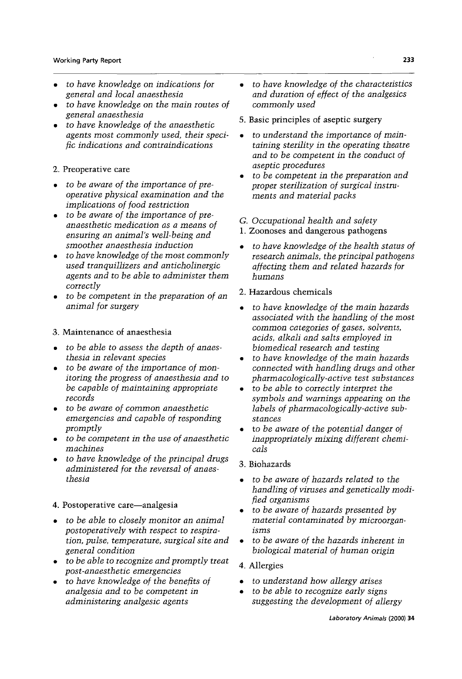- to have knowledge on indications for general and local anaesthesia
- to have knowledge on the main routes of general anaesthesia
- to have knowledge of the anaesthetic agents most commonly used, their specific indications and contraindications
- 2. Preoperative care
- $\bullet$  to be aware of the importance of preoperative physical examination and the implications of food restriction
- to be aware of the importance of preanaesthetic medication as a means of ensuring an animal's well-being and smoother anaesthesia induction
- to have knowledge of the most commonly used tranquillizers and anticholinergic agents and to be able to administer them correctly
- to be competent in the preparation of an animal for surgery

#### 3. Maintenance of anaesthesia

- to be able to assess the depth of anaesthesia in relevant species
- to be aware of the importance of monitoring the progress of anaesthesia and to be capable of maintaining appropriate records
- to be aware of common anaesthetic emergencies and capable of responding promptly
- $\bullet$  to be competent in the use of anaesthetic machines
- to have knowledge of the principal drugs administered for the reversal of anaesthesia

## 4. Postoperative care-analgesia

- to be able to closely monitor an animal postoperatively with respect to respiration, pulse, temperature, surgical site and general condition
- to be able to recognize and promptly treat post-anaesthetic emergencies
- to have knowledge of the benefits of analgesia and to be competent in administering analgesic agents
- to have knowledge of the characteristics and duration of effect of the analgesics commonly used
- 5. Basic principles of aseptic surgery
- to understand the importance of maintaining sterility in the operating theatre and to be competent in the conduct of aseptic procedures
- to be competent in the preparation and proper sterilization of surgical instruments and material packs
- G. Occupational health and safety
- 1. Zoonoses and dangerous pathogens
- to have knowledge of the health status of research animals, the principal pathogens affecting them and related hazards for humans
- 2. Hazardous chemicals
- to have knowledge of the main hazards associated with the handling of the most common categories of gases, solvents, acids, alkali and salts emploved in biomedical research and testing
- to have knowledge of the main hazards connected with handling drugs and other *pharmacologically-active test substances*
- to be able to correctly interpret the symbols and warnings appearing on the labels of pharmacologically-active substances
- to be aware of the potential danger of inappropriately mixing different chemicals
- 3. Biohazards
- to be aware of hazards related to the handling of viruses and genetically modified organisms
- to be aware of hazards presented by material contaminated by microorganisms
- to be aware of the hazards inherent in biological material of human origin
- 4. Allergies
- to understand how allergy arises  $\bullet$
- to be able to recognize early signs  $\bullet$ suggesting the development of allergy

233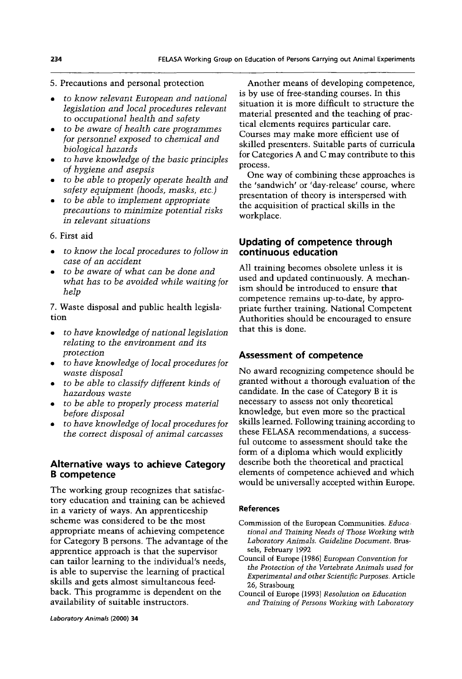#### 5. Precautions and personal protection

- to know relevant European and national legislation and local procedures relevant to occupational health and safety
- to be aware of health care programmes for personnel exposed to chemical and biological hazards
- to have knowledge of the basic principles of hygiene and asepsis
- to be able to properly operate health and safety equipment (hoods, masks, etc.)
- to be able to implement appropriate precautions to minimize potential risks in relevant situations

#### 6. First aid

- to know the local procedures to follow in case of an accident
- to be aware of what can be done and what has to be avoided while waiting for help

7. Waste disposal and public health legislation

- to have knowledge of national legislation relating to the environment and its protection
- to have knowledge of local procedures for waste disposal
- to be able to classify different kinds of hazardous waste
- to be able to properly process material before disposal
- to have knowledge of local procedures for the correct disposal of animal carcasses

## **Alternative ways to achieve Category B** competence

The working group recognizes that satisfactory education and training can be achieved in a variety of ways. An apprenticeship scheme was considered to be the most appropriate means of achieving competence for Category B persons. The advantage of the apprentice approach is that the supervisor can tailor learning to the individual's needs, is able to supervise the learning of practical skills and gets almost simultaneous feedback. This programme is dependent on the availability of suitable instructors.

Another means of developing competence, is by use of free-standing courses. In this situation it is more difficult to structure the material presented and the teaching of practical elements requires particular care. Courses may make more efficient use of skilled presenters. Suitable parts of curricula for Categories A and C may contribute to this process.

One way of combining these approaches is the 'sandwich' or 'day-release' course, where presentation of theory is interspersed with the acquisition of practical skills in the workplace.

## Updating of competence through continuous education

All training becomes obsolete unless it is used and updated continuously. A mechanism should be introduced to ensure that competence remains up-to-date, by appropriate further training. National Competent Authorities should be encouraged to ensure that this is done.

## **Assessment of competence**

No award recognizing competence should be granted without a thorough evaluation of the candidate. In the case of Category B it is necessary to assess not only theoretical knowledge, but even more so the practical skills learned. Following training according to these FELASA recommendations, a successful outcome to assessment should take the form of a diploma which would explicitly describe both the theoretical and practical elements of competence achieved and which would be universally accepted within Europe.

#### **References**

- Commission of the European Communities. Educational and Training Needs of Those Working with Laboratory Animals. Guideline Document. Brussels, February 1992
- Council of Europe (1986) European Convention for the Protection of the Vertebrate Animals used for Experimental and other Scientific Purposes. Article 26, Strasbourg
- Council of Europe (1993) Resolution on Education and Training of Persons Working with Laboratory